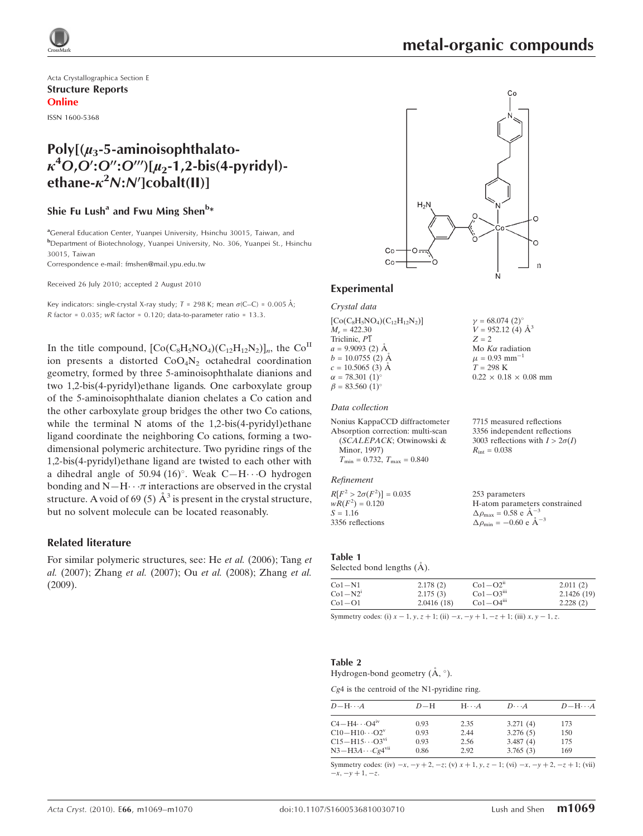

 $\gamma = 68.074~(2)^{\circ}$  $V = 952.12(4)$   $\AA^3$ 

Mo  $K\alpha$  radiation  $\mu = 0.93$  mm<sup>-1</sup>  $T = 298$  K

 $R_{\text{int}} = 0.038$ 

253 parameters

 $\Delta \rho_{\text{max}} = 0.58 \text{ e A}^{-3}$  $\Delta \rho_{\text{min}} = -0.60 \text{ e A}^{-3}$ 

 $0.22 \times 0.18 \times 0.08$  mm

7715 measured reflections 3356 independent reflections 3003 reflections with  $I > 2\sigma(I)$ 

H-atom parameters constrained

 $Z = 2$ 

Acta Crystallographica Section E Structure Reports Online

ISSN 1600-5368

## $Poly[(u<sub>3</sub>-5-aminoisophthalato \kappa^4$ O,O':O'':O''')[ $\mu_2$ -1,2-bis(4-pyridyl)ethane- $\kappa^2 N$ : $N$ ']cobalt(II)]

## Shie Fu Lush $^{\rm a}$  and Fwu Ming Shen $^{\rm b*}$

<sup>a</sup>General Education Center, Yuanpei University, Hsinchu 30015, Taiwan, and b Department of Biotechnology, Yuanpei University, No. 306, Yuanpei St., Hsinchu 30015, Taiwan

Correspondence e-mail: fmshen@mail.ypu.edu.tw

Received 26 July 2010; accepted 2 August 2010

Key indicators: single-crystal X-ray study;  $T = 298$  K; mean  $\sigma$ (C–C) = 0.005 Å;  $R$  factor = 0.035;  $wR$  factor = 0.120; data-to-parameter ratio = 13.3.

In the title compound,  $[Co(C_8H_5NO_4)(C_{12}H_{12}N_2)]_n$ , the  $Co<sup>II</sup>$ ion presents a distorted  $CoO<sub>4</sub>N<sub>2</sub>$  octahedral coordination geometry, formed by three 5-aminoisophthalate dianions and two 1,2-bis(4-pyridyl)ethane ligands. One carboxylate group of the 5-aminoisophthalate dianion chelates a Co cation and the other carboxylate group bridges the other two Co cations, while the terminal N atoms of the 1,2-bis(4-pyridyl)ethane ligand coordinate the neighboring Co cations, forming a twodimensional polymeric architecture. Two pyridine rings of the 1,2-bis(4-pyridyl)ethane ligand are twisted to each other with a dihedral angle of 50.94 (16)°. Weak C-H $\cdots$ O hydrogen bonding and  $N-H \cdot \cdot \pi$  interactions are observed in the crystal structure. A void of 69 (5)  $\AA^3$  is present in the crystal structure, but no solvent molecule can be located reasonably.

#### Related literature

For similar polymeric structures, see: He et al. (2006); Tang et al. (2007); Zhang et al. (2007); Ou et al. (2008); Zhang et al. (2009).



#### Experimental

Crystal data

 $[Co(C_8H_5NO_4)(C_{12}H_{12}N_2)]$  $M - 422.30$ Triclinic, P1  $a = 9.9093$  (2)  $\AA$  $b = 10.0755$  (2)  $\AA$  $c = 10.5065$  (3) Å  $\alpha = 78.301 \ (1)^{\circ}$  $\beta = 83.560 \ (1)^{\circ}$ 

#### Data collection

| Nonius KappaCCD diffractometer                   |
|--------------------------------------------------|
| Absorption correction: multi-scan                |
| (SCALEPACK; Otwinowski &                         |
| Minor, 1997)                                     |
| $T_{\text{min}} = 0.732, T_{\text{max}} = 0.840$ |

#### Refinement

 $R[F^2 > 2\sigma(F^2)] = 0.035$  $wR(F^2) = 0.120$  $S = 1.16$ 3356 reflections

#### Table 1

Selected bond lengths ( $\AA$ ).

| $Co1-N1$  | 2.178(2)   | $Co1-O2n$               | 2.011(2)   |
|-----------|------------|-------------------------|------------|
| $Co1-N21$ | 2.175(3)   | $Co1-O3$ <sup>iii</sup> | 2.1426(19) |
| $Co1-O1$  | 2.0416(18) | $Co1-O4III$             | 2.228(2)   |

Symmetry codes: (i)  $x - 1$ ,  $y$ ,  $z + 1$ ; (ii)  $-x$ ,  $-y + 1$ ,  $-z + 1$ ; (iii)  $x$ ,  $y - 1$ ,  $z$ .

#### Table 2

Hydrogen-bond geometry  $(\AA, \degree)$ .

#### Cg4 is the centroid of the N1-pyridine ring.

| $D - H \cdots A$                  | $D-H$ | $H\cdots A$ | $D\cdots A$ | $D$ -H $\cdots$ A |
|-----------------------------------|-------|-------------|-------------|-------------------|
|                                   |       |             |             |                   |
| $C4 - H4 \cdots Q4$ <sup>iv</sup> | 0.93  | 2.35        | 3.271(4)    | 173               |
| $C10 - H10 \cdots O2^v$           | 0.93  | 2.44        | 3.276(5)    | 150               |
| $C15 - H15 \cdots O3^{vi}$        | 0.93  | 2.56        | 3.487(4)    | 175               |
| $N3-H3A\cdots Cg4$ <sup>vii</sup> | 0.86  | 2.92        | 3.765(3)    | 169               |

Symmetry codes: (iv)  $-x$ ,  $-y + 2$ ,  $-z$ ; (v)  $x + 1$ ,  $y$ ,  $z - 1$ ; (vi)  $-x$ ,  $-y + 2$ ,  $-z + 1$ ; (vii)  $-x, -y + 1, -z.$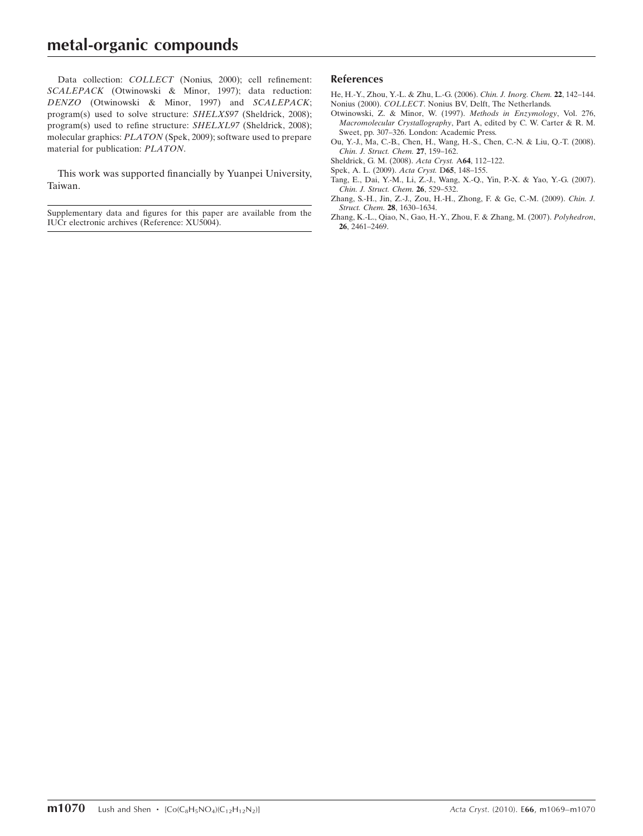## metal-organic compounds

Data collection: COLLECT (Nonius, 2000); cell refinement: SCALEPACK (Otwinowski & Minor, 1997); data reduction: DENZO (Otwinowski & Minor, 1997) and SCALEPACK; program(s) used to solve structure: SHELXS97 (Sheldrick, 2008); program(s) used to refine structure: SHELXL97 (Sheldrick, 2008); molecular graphics: PLATON (Spek, 2009); software used to prepare material for publication: PLATON.

This work was supported financially by Yuanpei University, Taiwan.

Supplementary data and figures for this paper are available from the IUCr electronic archives (Reference: XU5004).

#### References

[He, H.-Y., Zhou, Y.-L. & Zhu, L.-G. \(2006\).](https://scripts.iucr.org/cgi-bin/cr.cgi?rm=pdfbb&cnor=xu5004&bbid=BB1) Chin. J. Inorg. Chem. 22, 142–144. Nonius (2000). COLLECT[. Nonius BV, Delft, The Netherlands.](https://scripts.iucr.org/cgi-bin/cr.cgi?rm=pdfbb&cnor=xu5004&bbid=BB2)

- [Otwinowski, Z. & Minor, W. \(1997\).](https://scripts.iucr.org/cgi-bin/cr.cgi?rm=pdfbb&cnor=xu5004&bbid=BB3) Methods in Enzymology, Vol. 276, Macromolecular Crystallography[, Part A, edited by C. W. Carter & R. M.](https://scripts.iucr.org/cgi-bin/cr.cgi?rm=pdfbb&cnor=xu5004&bbid=BB3) [Sweet, pp. 307–326. London: Academic Press.](https://scripts.iucr.org/cgi-bin/cr.cgi?rm=pdfbb&cnor=xu5004&bbid=BB3)
- [Ou, Y.-J., Ma, C.-B., Chen, H., Wang, H.-S., Chen, C.-N. & Liu, Q.-T. \(2008\).](https://scripts.iucr.org/cgi-bin/cr.cgi?rm=pdfbb&cnor=xu5004&bbid=BB4) [Chin. J. Struct. Chem.](https://scripts.iucr.org/cgi-bin/cr.cgi?rm=pdfbb&cnor=xu5004&bbid=BB4) 27, 159–162.
- [Sheldrick, G. M. \(2008\).](https://scripts.iucr.org/cgi-bin/cr.cgi?rm=pdfbb&cnor=xu5004&bbid=BB5) Acta Cryst. A64, 112–122.
- [Spek, A. L. \(2009\).](https://scripts.iucr.org/cgi-bin/cr.cgi?rm=pdfbb&cnor=xu5004&bbid=BB6) Acta Cryst. D65, 148–155.
- [Tang, E., Dai, Y.-M., Li, Z.-J., Wang, X.-Q., Yin, P.-X. & Yao, Y.-G. \(2007\).](https://scripts.iucr.org/cgi-bin/cr.cgi?rm=pdfbb&cnor=xu5004&bbid=BB7) [Chin. J. Struct. Chem.](https://scripts.iucr.org/cgi-bin/cr.cgi?rm=pdfbb&cnor=xu5004&bbid=BB7) 26, 529–532.
- [Zhang, S.-H., Jin, Z.-J., Zou, H.-H., Zhong, F. & Ge, C.-M. \(2009\).](https://scripts.iucr.org/cgi-bin/cr.cgi?rm=pdfbb&cnor=xu5004&bbid=BB8) Chin. J. [Struct. Chem.](https://scripts.iucr.org/cgi-bin/cr.cgi?rm=pdfbb&cnor=xu5004&bbid=BB8) 28, 1630–1634.
- [Zhang, K.-L., Qiao, N., Gao, H.-Y., Zhou, F. & Zhang, M. \(2007\).](https://scripts.iucr.org/cgi-bin/cr.cgi?rm=pdfbb&cnor=xu5004&bbid=BB9) Polyhedron, 26[, 2461–2469.](https://scripts.iucr.org/cgi-bin/cr.cgi?rm=pdfbb&cnor=xu5004&bbid=BB9)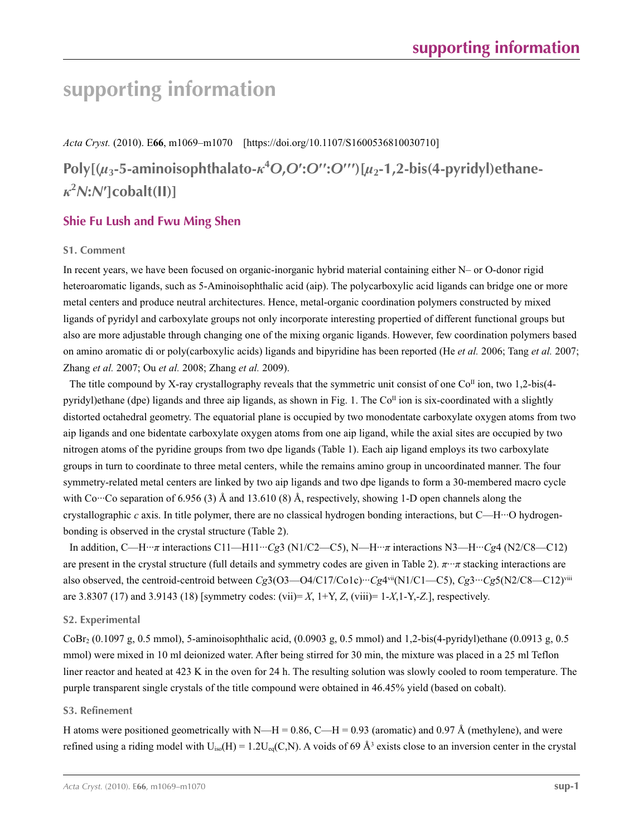*Acta Cryst.* (2010). E**66**, m1069–m1070 [https://doi.org/10.1107/S1600536810030710]

**Poly[(***µ***3-5-aminoisophthalato-***κ***<sup>4</sup>** *O***,***O***′:***O***′′:***O***′′′)[***µ***2-1,2-bis(4-pyridyl)ethane***κ***2** *N***:***N***′]cobalt(II)]**

## **Shie Fu Lush and Fwu Ming Shen**

### **S1. Comment**

In recent years, we have been focused on organic-inorganic hybrid material containing either N– or O-donor rigid heteroaromatic ligands, such as 5-Aminoisophthalic acid (aip). The polycarboxylic acid ligands can bridge one or more metal centers and produce neutral architectures. Hence, metal-organic coordination polymers constructed by mixed ligands of pyridyl and carboxylate groups not only incorporate interesting propertied of different functional groups but also are more adjustable through changing one of the mixing organic ligands. However, few coordination polymers based on amino aromatic di or poly(carboxylic acids) ligands and bipyridine has been reported (He *et al.* 2006; Tang *et al.* 2007; Zhang *et al.* 2007; Ou *et al.* 2008; Zhang *et al.* 2009).

The title compound by X-ray crystallography reveals that the symmetric unit consist of one  $Co<sup>\Pi</sup>$  ion, two 1,2-bis(4pyridyl)ethane (dpe) ligands and three aip ligands, as shown in Fig. 1. The Co<sup>II</sup> ion is six-coordinated with a slightly distorted octahedral geometry. The equatorial plane is occupied by two monodentate carboxylate oxygen atoms from two aip ligands and one bidentate carboxylate oxygen atoms from one aip ligand, while the axial sites are occupied by two nitrogen atoms of the pyridine groups from two dpe ligands (Table 1). Each aip ligand employs its two carboxylate groups in turn to coordinate to three metal centers, while the remains amino group in uncoordinated manner. The four symmetry-related metal centers are linked by two aip ligands and two dpe ligands to form a 30-membered macro cycle with Co $\cdot\cdot\cdot$ Co separation of 6.956 (3) Å and 13.610 (8) Å, respectively, showing 1-D open channels along the crystallographic *c* axis. In title polymer, there are no classical hydrogen bonding interactions, but C—H···O hydrogenbonding is observed in the crystal structure (Table 2).

In addition, C—H···*π* interactions C11—H11···*Cg*3 (N1/C2—C5), N—H···*π* interactions N3—H···*Cg*4 (N2/C8—C12) are present in the crystal structure (full details and symmetry codes are given in Table 2). *π*···*π* stacking interactions are also observed, the centroid-centroid between *Cg*3(O3—O4/C17/Co1c)···*Cg*4vii(N1/C1—C5), *Cg*3···*Cg*5(N2/C8—C12)viii are 3.8307 (17) and 3.9143 (18) [symmetry codes: (vii)= *X*, 1+Y, *Z*, (viii)= 1-*X*,1-Y,-*Z*.], respectively.

### **S2. Experimental**

CoBr2 (0.1097 g, 0.5 mmol), 5-aminoisophthalic acid, (0.0903 g, 0.5 mmol) and 1,2-bis(4-pyridyl)ethane (0.0913 g, 0.5 mmol) were mixed in 10 ml deionized water. After being stirred for 30 min, the mixture was placed in a 25 ml Teflon liner reactor and heated at 423 K in the oven for 24 h. The resulting solution was slowly cooled to room temperature. The purple transparent single crystals of the title compound were obtained in 46.45% yield (based on cobalt).

### **S3. Refinement**

H atoms were positioned geometrically with N—H = 0.86, C—H = 0.93 (aromatic) and 0.97 Å (methylene), and were refined using a riding model with  $U_{iso}(H) = 1.2U_{eq}(C,N)$ . A voids of 69 Å<sup>3</sup> exists close to an inversion center in the crystal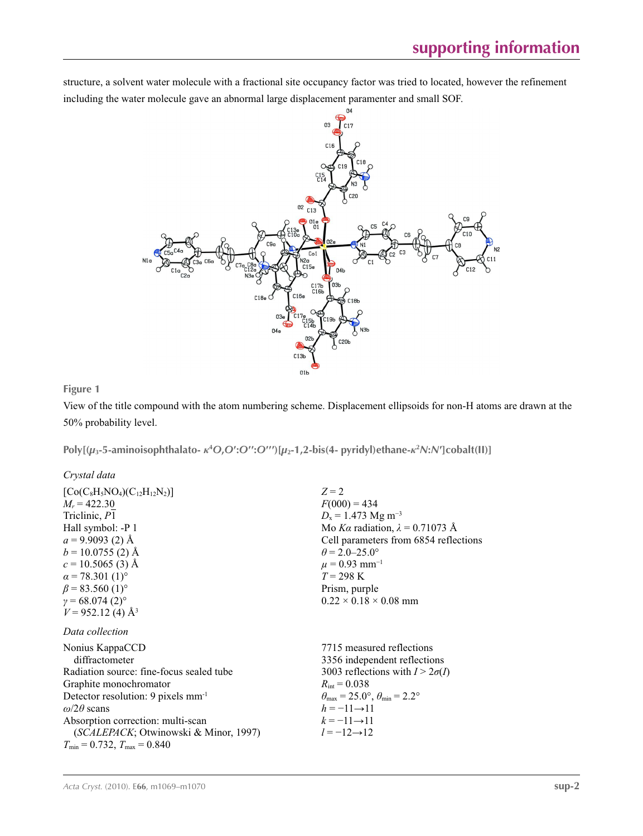structure, a solvent water molecule with a fractional site occupancy factor was tried to located, however the refinement including the water molecule gave an abnormal large displacement paramenter and small SOF.



**Figure 1**

View of the title compound with the atom numbering scheme. Displacement ellipsoids for non-H atoms are drawn at the 50% probability level.

Poly[ $(\mu_3$ -5-aminoisophthalato- $\kappa^4$ O,O':O'':O''')[ $\mu_2$ -1,2-bis(4- pyridyl)ethane- $\kappa^2$ N:N']cobalt(II)]

*Crystal data*

| $[Co(C_8H_5NO_4)(C_{12}H_{12}N_2)]$<br>$M_r = 422.30$<br>Triclinic, P1<br>Hall symbol: -P 1<br>$a = 9.9093(2)$ Å<br>$b = 10.0755(2)$ Å<br>$c = 10.5065(3)$ Å<br>$\alpha$ = 78.301 (1) <sup>o</sup><br>$\beta$ = 83.560 (1) <sup>o</sup><br>$y = 68.074(2)$ °<br>$V = 952.12$ (4) Å <sup>3</sup>                                 | $Z=2$<br>$F(000) = 434$<br>$D_x = 1.473$ Mg m <sup>-3</sup><br>Mo Ka radiation, $\lambda = 0.71073$ Å<br>Cell parameters from 6854 reflections<br>$\theta$ = 2.0–25.0°<br>$\mu = 0.93$ mm <sup>-1</sup><br>$T = 298 \text{ K}$<br>Prism, purple<br>$0.22 \times 0.18 \times 0.08$ mm           |
|---------------------------------------------------------------------------------------------------------------------------------------------------------------------------------------------------------------------------------------------------------------------------------------------------------------------------------|------------------------------------------------------------------------------------------------------------------------------------------------------------------------------------------------------------------------------------------------------------------------------------------------|
| Data collection<br>Nonius KappaCCD<br>diffractometer<br>Radiation source: fine-focus sealed tube<br>Graphite monochromator<br>Detector resolution: 9 pixels mm <sup>-1</sup><br>$\omega/2\theta$ scans<br>Absorption correction: multi-scan<br>(SCALEPACK; Otwinowski & Minor, 1997)<br>$T_{\min} = 0.732$ , $T_{\max} = 0.840$ | 7715 measured reflections<br>3356 independent reflections<br>3003 reflections with $I > 2\sigma(I)$<br>$R_{\text{int}} = 0.038$<br>$\theta_{\text{max}} = 25.0^{\circ}, \theta_{\text{min}} = 2.2^{\circ}$<br>$h = -11 \rightarrow 11$<br>$k = -11 \rightarrow 11$<br>$l = -12 \rightarrow 12$ |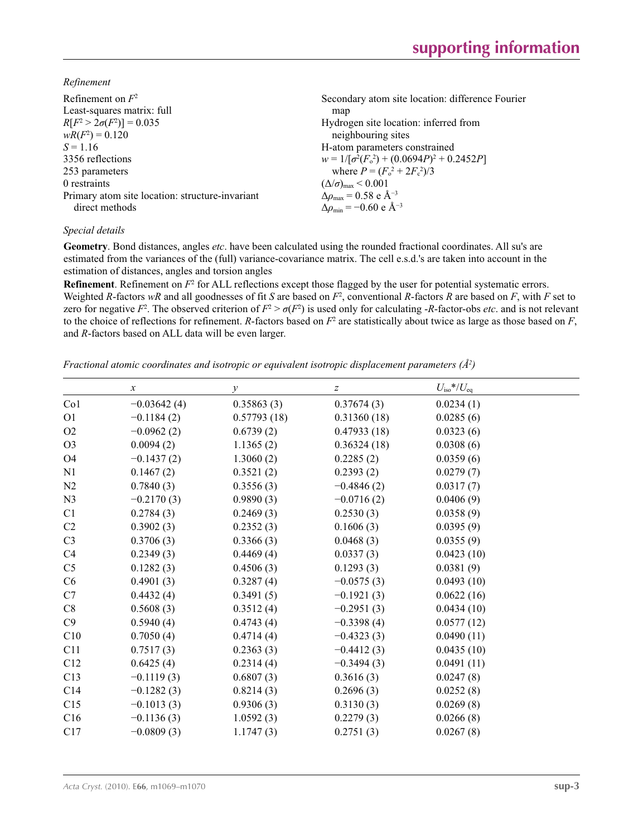*Refinement*

| Secondary atom site location: difference Fourier  |
|---------------------------------------------------|
| map                                               |
| Hydrogen site location: inferred from             |
| neighbouring sites                                |
| H-atom parameters constrained                     |
| $w = 1/[\sigma^2(F_0^2) + (0.0694P)^2 + 0.2452P]$ |
| where $P = (F_o^2 + 2F_c^2)/3$                    |
| $(\Delta/\sigma)_{\text{max}}$ < 0.001            |
| $\Delta \rho_{\rm max} = 0.58$ e Å <sup>-3</sup>  |
| $\Delta \rho_{\rm min} = -0.60 \text{ e A}^{-3}$  |
|                                                   |

### *Special details*

**Geometry**. Bond distances, angles *etc*. have been calculated using the rounded fractional coordinates. All su's are estimated from the variances of the (full) variance-covariance matrix. The cell e.s.d.'s are taken into account in the estimation of distances, angles and torsion angles

**Refinement**. Refinement on  $F^2$  for ALL reflections except those flagged by the user for potential systematic errors. Weighted *R*-factors  $wR$  and all goodnesses of fit *S* are based on  $F^2$ , conventional *R*-factors *R* are based on *F*, with *F* set to zero for negative  $F^2$ . The observed criterion of  $F^2 > \sigma(F^2)$  is used only for calculating -*R*-factor-obs *etc*. and is not relevant to the choice of reflections for refinement. *R*-factors based on  $F^2$  are statistically about twice as large as those based on  $F$ , and *R*-factors based on ALL data will be even larger.

*Fractional atomic coordinates and isotropic or equivalent isotropic displacement parameters (Å<sup>2</sup>)* 

|                 | $\boldsymbol{x}$ | $\mathcal{Y}$ | $\boldsymbol{Z}$ | $U_{\rm iso}$ */ $U_{\rm eq}$ |
|-----------------|------------------|---------------|------------------|-------------------------------|
| Co <sub>1</sub> | $-0.03642(4)$    | 0.35863(3)    | 0.37674(3)       | 0.0234(1)                     |
| O <sub>1</sub>  | $-0.1184(2)$     | 0.57793(18)   | 0.31360(18)      | 0.0285(6)                     |
| O2              | $-0.0962(2)$     | 0.6739(2)     | 0.47933(18)      | 0.0323(6)                     |
| O <sub>3</sub>  | 0.0094(2)        | 1.1365(2)     | 0.36324(18)      | 0.0308(6)                     |
| <b>O4</b>       | $-0.1437(2)$     | 1.3060(2)     | 0.2285(2)        | 0.0359(6)                     |
| N <sub>1</sub>  | 0.1467(2)        | 0.3521(2)     | 0.2393(2)        | 0.0279(7)                     |
| N2              | 0.7840(3)        | 0.3556(3)     | $-0.4846(2)$     | 0.0317(7)                     |
| N <sub>3</sub>  | $-0.2170(3)$     | 0.9890(3)     | $-0.0716(2)$     | 0.0406(9)                     |
| C1              | 0.2784(3)        | 0.2469(3)     | 0.2530(3)        | 0.0358(9)                     |
| C2              | 0.3902(3)        | 0.2352(3)     | 0.1606(3)        | 0.0395(9)                     |
| C <sub>3</sub>  | 0.3706(3)        | 0.3366(3)     | 0.0468(3)        | 0.0355(9)                     |
| C <sub>4</sub>  | 0.2349(3)        | 0.4469(4)     | 0.0337(3)        | 0.0423(10)                    |
| C <sub>5</sub>  | 0.1282(3)        | 0.4506(3)     | 0.1293(3)        | 0.0381(9)                     |
| C6              | 0.4901(3)        | 0.3287(4)     | $-0.0575(3)$     | 0.0493(10)                    |
| C7              | 0.4432(4)        | 0.3491(5)     | $-0.1921(3)$     | 0.0622(16)                    |
| C8              | 0.5608(3)        | 0.3512(4)     | $-0.2951(3)$     | 0.0434(10)                    |
| C9              | 0.5940(4)        | 0.4743(4)     | $-0.3398(4)$     | 0.0577(12)                    |
| C10             | 0.7050(4)        | 0.4714(4)     | $-0.4323(3)$     | 0.0490(11)                    |
| C11             | 0.7517(3)        | 0.2363(3)     | $-0.4412(3)$     | 0.0435(10)                    |
| C12             | 0.6425(4)        | 0.2314(4)     | $-0.3494(3)$     | 0.0491(11)                    |
| C13             | $-0.1119(3)$     | 0.6807(3)     | 0.3616(3)        | 0.0247(8)                     |
| C14             | $-0.1282(3)$     | 0.8214(3)     | 0.2696(3)        | 0.0252(8)                     |
| C15             | $-0.1013(3)$     | 0.9306(3)     | 0.3130(3)        | 0.0269(8)                     |
| C16             | $-0.1136(3)$     | 1.0592(3)     | 0.2279(3)        | 0.0266(8)                     |
| C17             | $-0.0809(3)$     | 1.1747(3)     | 0.2751(3)        | 0.0267(8)                     |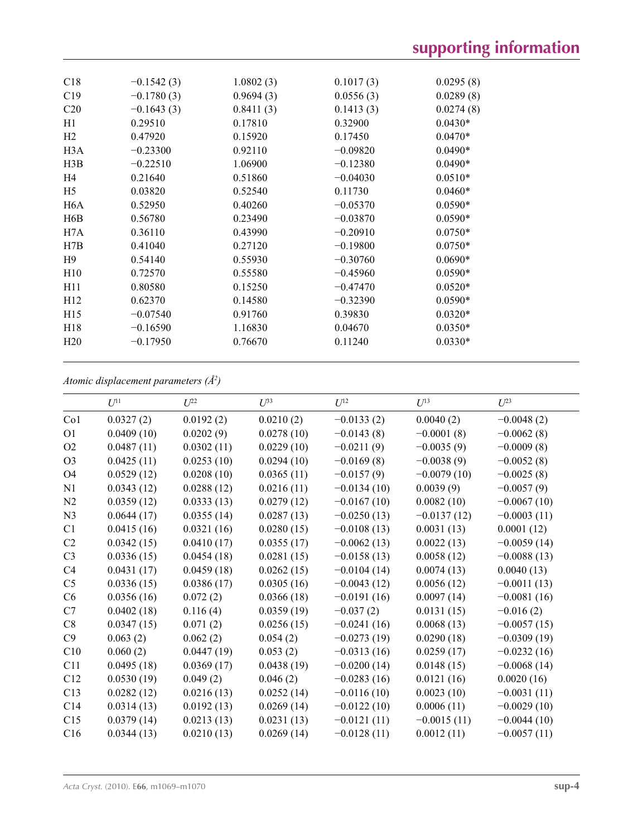| C18              | $-0.1542(3)$ | 1.0802(3) | 0.1017(3)  | 0.0295(8) |
|------------------|--------------|-----------|------------|-----------|
| C19              | $-0.1780(3)$ | 0.9694(3) | 0.0556(3)  | 0.0289(8) |
| C <sub>20</sub>  | $-0.1643(3)$ | 0.8411(3) | 0.1413(3)  | 0.0274(8) |
| H1               | 0.29510      | 0.17810   | 0.32900    | $0.0430*$ |
| H <sub>2</sub>   | 0.47920      | 0.15920   | 0.17450    | $0.0470*$ |
| H3A              | $-0.23300$   | 0.92110   | $-0.09820$ | $0.0490*$ |
| H3B              | $-0.22510$   | 1.06900   | $-0.12380$ | $0.0490*$ |
| H4               | 0.21640      | 0.51860   | $-0.04030$ | $0.0510*$ |
| H <sub>5</sub>   | 0.03820      | 0.52540   | 0.11730    | $0.0460*$ |
| H <sub>6</sub> A | 0.52950      | 0.40260   | $-0.05370$ | $0.0590*$ |
| H6B              | 0.56780      | 0.23490   | $-0.03870$ | $0.0590*$ |
| H7A              | 0.36110      | 0.43990   | $-0.20910$ | $0.0750*$ |
| H7B              | 0.41040      | 0.27120   | $-0.19800$ | $0.0750*$ |
| H9               | 0.54140      | 0.55930   | $-0.30760$ | $0.0690*$ |
| H10              | 0.72570      | 0.55580   | $-0.45960$ | $0.0590*$ |
| H11              | 0.80580      | 0.15250   | $-0.47470$ | $0.0520*$ |
| H12              | 0.62370      | 0.14580   | $-0.32390$ | $0.0590*$ |
| H15              | $-0.07540$   | 0.91760   | 0.39830    | $0.0320*$ |
| H18              | $-0.16590$   | 1.16830   | 0.04670    | $0.0350*$ |
| H20              | $-0.17950$   | 0.76670   | 0.11240    | $0.0330*$ |
|                  |              |           |            |           |

#### *Atomic displacement parameters (Å2 )*

|                | $U^{11}$   | $U^{22}$   | $I^{\beta}$ | $U^{12}$      | $U^{13}$      | $U^{23}$      |
|----------------|------------|------------|-------------|---------------|---------------|---------------|
| Co1            | 0.0327(2)  | 0.0192(2)  | 0.0210(2)   | $-0.0133(2)$  | 0.0040(2)     | $-0.0048(2)$  |
| O <sub>1</sub> | 0.0409(10) | 0.0202(9)  | 0.0278(10)  | $-0.0143(8)$  | $-0.0001(8)$  | $-0.0062(8)$  |
| O <sub>2</sub> | 0.0487(11) | 0.0302(11) | 0.0229(10)  | $-0.0211(9)$  | $-0.0035(9)$  | $-0.0009(8)$  |
| O <sub>3</sub> | 0.0425(11) | 0.0253(10) | 0.0294(10)  | $-0.0169(8)$  | $-0.0038(9)$  | $-0.0052(8)$  |
| <b>O4</b>      | 0.0529(12) | 0.0208(10) | 0.0365(11)  | $-0.0157(9)$  | $-0.0079(10)$ | $-0.0025(8)$  |
| N1             | 0.0343(12) | 0.0288(12) | 0.0216(11)  | $-0.0134(10)$ | 0.0039(9)     | $-0.0057(9)$  |
| N2             | 0.0359(12) | 0.0333(13) | 0.0279(12)  | $-0.0167(10)$ | 0.0082(10)    | $-0.0067(10)$ |
| N <sub>3</sub> | 0.0644(17) | 0.0355(14) | 0.0287(13)  | $-0.0250(13)$ | $-0.0137(12)$ | $-0.0003(11)$ |
| C1             | 0.0415(16) | 0.0321(16) | 0.0280(15)  | $-0.0108(13)$ | 0.0031(13)    | 0.0001(12)    |
| C <sub>2</sub> | 0.0342(15) | 0.0410(17) | 0.0355(17)  | $-0.0062(13)$ | 0.0022(13)    | $-0.0059(14)$ |
| C <sub>3</sub> | 0.0336(15) | 0.0454(18) | 0.0281(15)  | $-0.0158(13)$ | 0.0058(12)    | $-0.0088(13)$ |
| C4             | 0.0431(17) | 0.0459(18) | 0.0262(15)  | $-0.0104(14)$ | 0.0074(13)    | 0.0040(13)    |
| C <sub>5</sub> | 0.0336(15) | 0.0386(17) | 0.0305(16)  | $-0.0043(12)$ | 0.0056(12)    | $-0.0011(13)$ |
| C <sub>6</sub> | 0.0356(16) | 0.072(2)   | 0.0366(18)  | $-0.0191(16)$ | 0.0097(14)    | $-0.0081(16)$ |
| C7             | 0.0402(18) | 0.116(4)   | 0.0359(19)  | $-0.037(2)$   | 0.0131(15)    | $-0.016(2)$   |
| C8             | 0.0347(15) | 0.071(2)   | 0.0256(15)  | $-0.0241(16)$ | 0.0068(13)    | $-0.0057(15)$ |
| C9             | 0.063(2)   | 0.062(2)   | 0.054(2)    | $-0.0273(19)$ | 0.0290(18)    | $-0.0309(19)$ |
| C10            | 0.060(2)   | 0.0447(19) | 0.053(2)    | $-0.0313(16)$ | 0.0259(17)    | $-0.0232(16)$ |
| C11            | 0.0495(18) | 0.0369(17) | 0.0438(19)  | $-0.0200(14)$ | 0.0148(15)    | $-0.0068(14)$ |
| C12            | 0.0530(19) | 0.049(2)   | 0.046(2)    | $-0.0283(16)$ | 0.0121(16)    | 0.0020(16)    |
| C13            | 0.0282(12) | 0.0216(13) | 0.0252(14)  | $-0.0116(10)$ | 0.0023(10)    | $-0.0031(11)$ |
| C14            | 0.0314(13) | 0.0192(13) | 0.0269(14)  | $-0.0122(10)$ | 0.0006(11)    | $-0.0029(10)$ |
| C15            | 0.0379(14) | 0.0213(13) | 0.0231(13)  | $-0.0121(11)$ | $-0.0015(11)$ | $-0.0044(10)$ |
| C16            | 0.0344(13) | 0.0210(13) | 0.0269(14)  | $-0.0128(11)$ | 0.0012(11)    | $-0.0057(11)$ |
|                |            |            |             |               |               |               |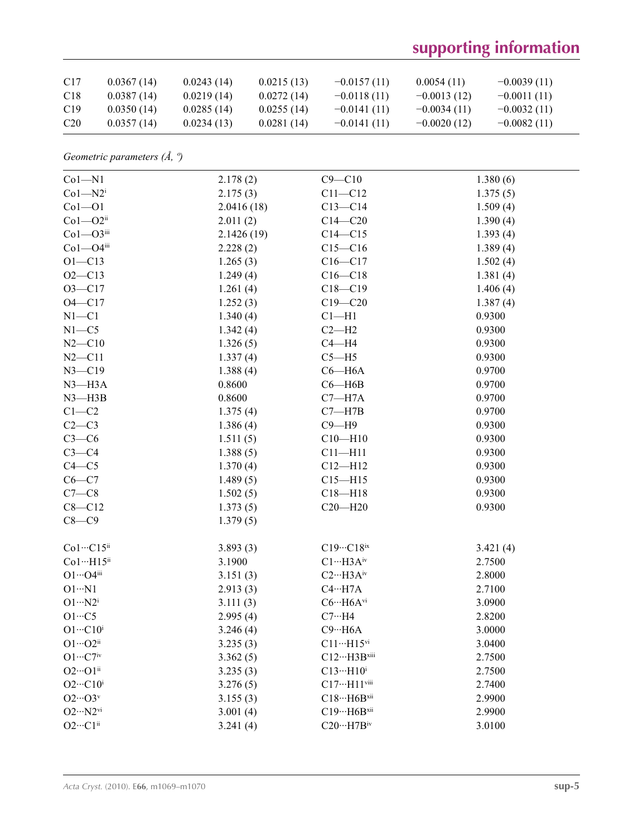| C <sub>17</sub> | 0.0367(14) | 0.0243(14) | 0.0215(13) | $-0.0157(11)$ | 0.0054(11)    | $-0.0039(11)$ |
|-----------------|------------|------------|------------|---------------|---------------|---------------|
| C <sub>18</sub> | 0.0387(14) | 0.0219(14) | 0.0272(14) | $-0.0118(11)$ | $-0.0013(12)$ | $-0.0011(11)$ |
| C <sub>19</sub> | 0.0350(14) | 0.0285(14) | 0.0255(14) | $-0.0141(11)$ | $-0.0034(11)$ | $-0.0032(11)$ |
| C <sub>20</sub> | 0.0357(14) | 0.0234(13) | 0.0281(14) | $-0.0141(11)$ | $-0.0020(12)$ | $-0.0082(11)$ |

*Geometric parameters (Å, º)*

| $Co1 - N1$                              | 2.178(2)   | $C9 - C10$                    | 1.380(6) |
|-----------------------------------------|------------|-------------------------------|----------|
| $Co1 - N2$                              | 2.175(3)   | $C11 - C12$                   | 1.375(5) |
| $Co1 - O1$                              | 2.0416(18) | $C13 - C14$                   | 1.509(4) |
| $Co1 - O2$ <sup>ii</sup>                | 2.011(2)   | $C14 - C20$                   | 1.390(4) |
| $Co1 - O3$ iii                          | 2.1426(19) | $C14 - C15$                   | 1.393(4) |
| $Co1 - O4$ iii                          | 2.228(2)   | $C15 - C16$                   | 1.389(4) |
| $O1 - C13$                              | 1.265(3)   | $C16 - C17$                   | 1.502(4) |
| $O2 - C13$                              | 1.249(4)   | $C16 - C18$                   | 1.381(4) |
| $O3 - C17$                              | 1.261(4)   | $C18 - C19$                   | 1.406(4) |
| $O4 - C17$                              | 1.252(3)   | $C19 - C20$                   | 1.387(4) |
| $N1 - C1$                               | 1.340(4)   | $Cl-H1$                       | 0.9300   |
| $N1 - C5$                               | 1.342(4)   | $C2-H2$                       | 0.9300   |
| $N2 - C10$                              | 1.326(5)   | $C4 - H4$                     | 0.9300   |
| $N2 - C11$                              | 1.337(4)   | $C5 - H5$                     | 0.9300   |
| $N3 - C19$                              | 1.388(4)   | $C6 - H6A$                    | 0.9700   |
| $N3 - H3A$                              | 0.8600     | $C6 - H6B$                    | 0.9700   |
| $N3 - H3B$                              | 0.8600     | $C7 - H7A$                    | 0.9700   |
| $C1-C2$                                 | 1.375(4)   | $C7 - H7B$                    | 0.9700   |
| $C2-C3$                                 | 1.386(4)   | $C9 - H9$                     | 0.9300   |
| $C3-C6$                                 | 1.511(5)   | $C10 - H10$                   | 0.9300   |
| $C3-C4$                                 | 1.388(5)   | $C11 - H11$                   | 0.9300   |
| $C4 - C5$                               | 1.370(4)   | $C12 - H12$                   | 0.9300   |
| $C6-C7$                                 | 1.489(5)   | $C15 - H15$                   | 0.9300   |
| $C7-C8$                                 | 1.502(5)   | $C18 - H18$                   | 0.9300   |
| $C8 - C12$                              | 1.373(5)   | $C20 - H20$                   | 0.9300   |
| $C8-C9$                                 | 1.379(5)   |                               |          |
| Co1…C15ii                               | 3.893(3)   | $C19\cdot C18$ ix             | 3.421(4) |
| Co1…H15ii                               | 3.1900     | $C1 \cdots H3A^{iv}$          | 2.7500   |
| $O1 \cdots O4$ iii                      | 3.151(3)   | $C2 \cdots H3A^{iv}$          | 2.8000   |
| $O1 \cdot N1$                           | 2.913(3)   | $C4 \cdot \cdot \cdot H7A$    | 2.7100   |
| $O1 \cdot \cdot \cdot N2^i$             | 3.111(3)   | $C6 \cdots H6A^{vi}$          | 3.0900   |
| $O1 \cdot \cdot \cdot C5$               | 2.995(4)   | $C7 \cdot \cdot \cdot H4$     | 2.8200   |
| $O1 \cdot \cdot \cdot C10^i$            | 3.246(4)   | $C9 \cdot \cdot \cdot H6A$    | 3.0000   |
| $O1 \cdots O2$ <sup>ii</sup>            | 3.235(3)   | $C11\cdots H15$ <sup>vi</sup> | 3.0400   |
| $O1 \cdots C7$ iv                       | 3.362(5)   | $C12 \cdots H3B$ xiii         | 2.7500   |
| $O2\cdots O1^{ii}$                      | 3.235(3)   | $C13\cdots H10^i$             | 2.7500   |
| $O2 \cdot \cdot \cdot Cl0^i$            | 3.276(5)   | C17…H11viii                   | 2.7400   |
| $O2\cdots O3v$                          | 3.155(3)   | $C18\cdots H6B^{xii}$         | 2.9900   |
| $O2 \cdot \cdot \cdot N2$ <sup>vi</sup> | 3.001(4)   | C19…H6Bxii                    | 2.9900   |
| $O2\cdots C1^{ii}$                      | 3.241(4)   | $C20 \cdots H7B$ iv           | 3.0100   |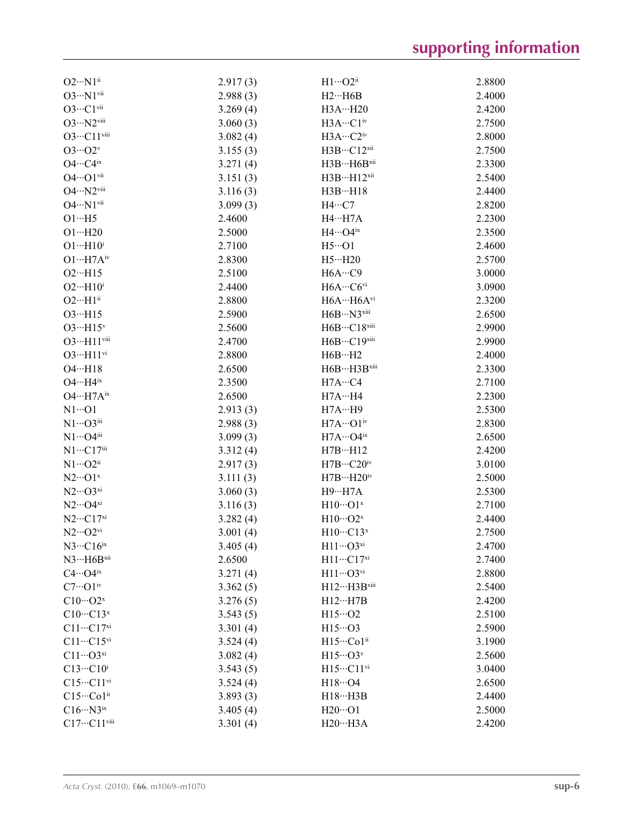| $O2 \cdot \cdot \cdot N1^{ii}$           | 2.917(3) | $H1 \cdots O2$ <sup>ii</sup>     | 2.8800 |
|------------------------------------------|----------|----------------------------------|--------|
| $O3 \cdot \cdot \cdot N1$ vii            | 2.988(3) | $H2 \cdots H6B$                  | 2.4000 |
| $O3 \cdots C1$ vii                       | 3.269(4) | H3AH20                           | 2.4200 |
| $O3 \cdots N2$ viii                      | 3.060(3) | H3A…C1 <sup>iv</sup>             | 2.7500 |
| O3…C11viii                               | 3.082(4) | H3A…C2iv                         | 2.8000 |
| $O3\cdots O2^v$                          | 3.155(3) | H3B…C12xii                       | 2.7500 |
| $O4 \cdots C4^{ix}$                      | 3.271(4) | H3B…H6Bxii                       | 2.3300 |
| $O4 \cdots O1$ <sup>vii</sup>            | 3.151(3) | $H3BH12$ <sup>xii</sup>          | 2.5400 |
| O4…N2viii                                | 3.116(3) | H3BH18                           | 2.4400 |
| $O4 \cdot \cdot N1$ <sup>vii</sup>       | 3.099(3) | $H4\cdots C7$                    | 2.8200 |
| $O1 \cdot \cdot \cdot H5$                | 2.4600   | $H4 \cdots H7A$                  | 2.2300 |
| $O1 \cdots H20$                          | 2.5000   | $H4\cdots$ O4ix                  | 2.3500 |
| $O1 \cdot \cdot \cdot H10^i$             | 2.7100   | $H5 \cdot \cdot \cdot \cdot O1$  | 2.4600 |
| $O1 \cdots H7 A^{iv}$                    | 2.8300   | $H5 \cdot \cdot \cdot H20$       | 2.5700 |
| $O2 \cdot \cdot \cdot H15$               | 2.5100   | H6A…C9                           | 3.0000 |
| $O2 \cdot \cdot \cdot H10^i$             | 2.4400   | $H6A\cdots C6$ <sup>vi</sup>     | 3.0900 |
| $O2 \cdot \cdot \cdot H1$ <sup>ii</sup>  | 2.8800   | H6A…H6Avi                        | 2.3200 |
| $O3 \cdot \cdot \cdot H15$               | 2.5900   | H6B…N3xiii                       | 2.6500 |
| $O3 \cdot \cdot \cdot H15$ <sup>v</sup>  | 2.5600   | H6B…C18xiii                      | 2.9900 |
| O3…H11viii                               | 2.4700   | H6B…C19xiii                      | 2.9900 |
| $O3 \cdot \cdot \cdot H11$ <sup>vi</sup> | 2.8800   | $H6B \cdots H2$                  | 2.4000 |
| $O4 \cdot \cdot \cdot H18$               | 2.6500   | $H6BH3B$ xiii                    | 2.3300 |
| $O4 \cdot \cdot \cdot H4$ <sup>ix</sup>  | 2.3500   | H7AC4                            | 2.7100 |
| $O4 \cdot \cdot \cdot H7A^{ix}$          | 2.6500   | H7AH4                            | 2.2300 |
| $N1 \cdots 01$                           | 2.913(3) | H7AH9                            | 2.5300 |
| $N1 \cdots O3$ iii                       | 2.988(3) | $H7A\cdots O1$ <sup>iv</sup>     | 2.8300 |
| $N1 \cdots$ O4iii                        | 3.099(3) | $H7A\cdots O4^{ix}$              | 2.6500 |
| $N1 \cdots C17$ iii                      | 3.312(4) | $H7B \cdots H12$                 | 2.4200 |
| $N1 \cdots O2^{i}$                       | 2.917(3) | $H7B\cdots C20^{iv}$             | 3.0100 |
| $N2\cdots$ O1 <sup>x</sup>               | 3.111(3) | $H7B\cdots H20^{\rm iv}$         | 2.5000 |
| $N2\cdots$ O3xi                          | 3.060(3) | <b>H9…H7A</b>                    | 2.5300 |
| $N2\cdots$ O4xi                          | 3.116(3) | $H10\cdots O1^x$                 | 2.7100 |
| $N2\cdots C17^{xi}$                      | 3.282(4) | $H10\cdots O2^x$                 | 2.4400 |
| $N2\cdots$ O2vi                          | 3.001(4) | $H10\cdots C13^{x}$              | 2.7500 |
| $N3 \cdots C16$ <sup>ix</sup>            | 3.405(4) | $H11 \cdots O3^{xi}$             | 2.4700 |
| $N3 \cdot \cdot \cdot H6B^{xii}$         | 2.6500   | H11…C17 <sup>xi</sup>            | 2.7400 |
| $C4 \cdots O4$ <sup>ix</sup>             | 3.271(4) | $H11\cdots O3$ <sup>vi</sup>     | 2.8800 |
| $C7 \cdots O1$ iv                        | 3.362(5) | $H12 \cdots H3B$ <sup>xiii</sup> | 2.5400 |
| $C10\cdots O2^x$                         | 3.276(5) | $H12 \cdots H7B$                 | 2.4200 |
| $C10 \cdots C13$ <sup>x</sup>            | 3.543(5) | $H15\cdot 02$                    | 2.5100 |
| $C11 \cdots C17$ <sup>xi</sup>           | 3.301(4) | $H15\cdots$ O3                   | 2.5900 |
| $C11 \cdots C15$ <sup>vi</sup>           | 3.524(4) | H15…Co1ii                        | 3.1900 |
| $C11\cdots O3^{xi}$                      | 3.082(4) | $H15\cdots O3v$                  | 2.5600 |
| $C13\cdots C10^i$                        | 3.543(5) | H15…C11vi                        | 3.0400 |
| $C15\cdots C11\rm{vi}$                   | 3.524(4) | $H18\cdot\cdot\cdot$ O4          | 2.6500 |
| $C15\cdot\cdot\cdot Co1^{ii}$            | 3.893(3) | $H18 \cdots H3B$                 | 2.4400 |
| $C16 \cdots N3^{ix}$                     | 3.405(4) | $H20 \cdots O1$                  | 2.5000 |
| $C17\cdots C11$ <sup>viii</sup>          | 3.301(4) | H20…H3A                          | 2.4200 |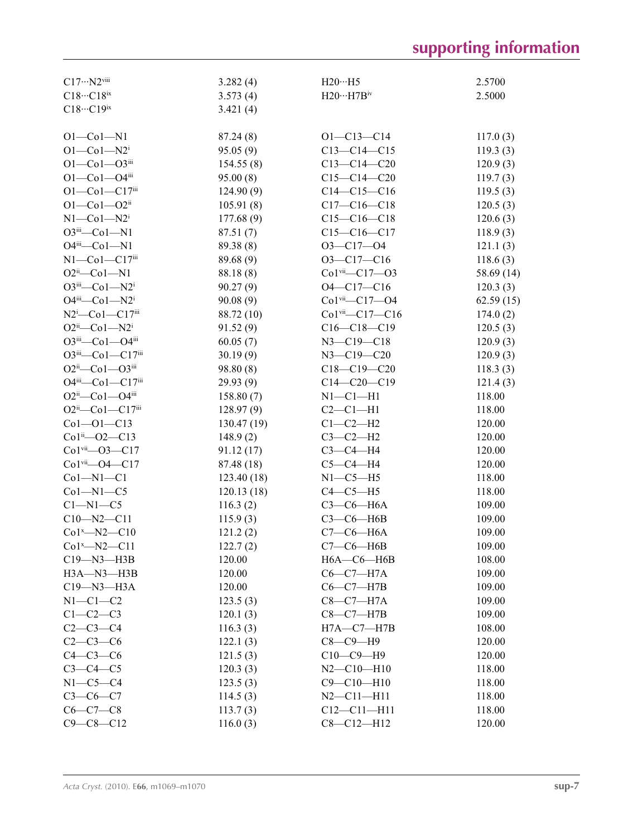| $C17 \cdots N2$ viii                          | 3.282(4)   | $H20 \cdots H5$                  | 2.5700     |
|-----------------------------------------------|------------|----------------------------------|------------|
| $C18 \cdots C18$ ix                           | 3.573(4)   | $H20\cdots H7B^{iv}$             | 2.5000     |
| $C18\cdot\cdot\cdot C19^{ix}$                 | 3.421(4)   |                                  |            |
|                                               |            |                                  |            |
| $O1 - Co1 - N1$                               | 87.24(8)   | $O1 - C13 - C14$                 | 117.0(3)   |
| $O1 - Co1 - N2$ <sup>i</sup>                  | 95.05(9)   | $C13-C14-C15$                    | 119.3(3)   |
| $O1 - Co1 - O3$ iii                           | 154.55(8)  | $C13 - C14 - C20$                | 120.9(3)   |
| $O1 - Co1 - O4$ iii                           | 95.00(8)   | $C15-C14-C20$                    | 119.7(3)   |
| O1-Co1-C17iii                                 | 124.90(9)  | $C14-C15-C16$                    | 119.5(3)   |
| $O1 - Co1 - O2$ <sup>ii</sup>                 | 105.91(8)  | $C17-C16-C18$                    | 120.5(3)   |
| $N1$ — $Co1$ — $N2$ <sup>i</sup>              | 177.68(9)  | $C15-C16-C18$                    | 120.6(3)   |
| $O3$ <sup>iii</sup> — $Co1 - N1$              | 87.51(7)   | $C15-C16-C17$                    | 118.9(3)   |
| $O4^{iii}$ -Co1-N1                            | 89.38 (8)  | $O3 - C17 - O4$                  | 121.1(3)   |
| $N1$ — $Co1$ — $Cl7$ <sup>iii</sup>           | 89.68 (9)  | $O3-C17-C16$                     | 118.6(3)   |
| $O2ii$ -Co1-N1                                | 88.18(8)   | Co1vii-C17-03                    | 58.69 (14) |
| $O3$ <sup>iii</sup> — $Co1 - N2$ <sup>i</sup> | 90.27(9)   | $O4 - C17 - C16$                 | 120.3(3)   |
| $O4$ <sup>iii</sup> — $Co1 - N2$ <sup>i</sup> | 90.08(9)   | $Co1$ <sup>vii</sup> $-C17 - O4$ | 62.59(15)  |
| $N2^i$ -Co1-C17iii                            | 88.72 (10) | $Co1$ <sup>vii</sup> $-C17-C16$  | 174.0(2)   |
| $O2^{ii}$ - $Co1$ - $N2^{i}$                  | 91.52(9)   | $C16-C18-C19$                    | 120.5(3)   |
| $O3^{iii}$ - $Co1$ - $O4^{iii}$               | 60.05(7)   | $N3 - C19 - C18$                 | 120.9(3)   |
| O3iii—Co1—C17iii                              | 30.19(9)   | $N3 - C19 - C20$                 | 120.9(3)   |
| $O2^{ii}$ — $Co1$ — $O3^{iii}$                | 98.80 (8)  | $C18 - C19 - C20$                | 118.3(3)   |
| O4iii-Co1-C17iii                              | 29.93 (9)  | $C14-C20-C19$                    | 121.4(3)   |
| $O2ii$ -Co1- $O4iii$                          | 158.80(7)  | $N1-C1-H1$                       | 118.00     |
| $O2^{ii}$ - Co1 - C17iii                      | 128.97(9)  | $C2-C1-H1$                       | 118.00     |
| $Co1 - O1 - C13$                              | 130.47(19) | $C1-C2-H2$                       | 120.00     |
| $Co1^{ii} - O2 - C13$                         | 148.9(2)   | $C3-C2-H2$                       | 120.00     |
| $Co1$ <sup>vii</sup> $-O3 - C17$              |            | $C3-C4-H4$                       | 120.00     |
|                                               | 91.12 (17) |                                  |            |
| $Co1$ <sup>vii</sup> $ O4$ $ Cl7$             | 87.48 (18) | $C5-C4-H4$                       | 120.00     |
| $Co1 - N1 - C1$                               | 123.40(18) | $N1-C5-H5$                       | 118.00     |
| $Co1-M1-C5$                                   | 120.13(18) | $C4-C5-H5$                       | 118.00     |
| $C1 - N1 - C5$                                | 116.3(2)   | $C3-C6-H6A$                      | 109.00     |
| $C10 - N2 - C11$                              | 115.9(3)   | $C3-C6-H6B$                      | 109.00     |
| $Co1^x$ -N2- $C10$                            | 121.2(2)   | $C7-C6-H6A$                      | 109.00     |
| $Co1^x$ -N2-C11                               | 122.7(2)   | $C7-C6-H6B$                      | 109.00     |
| $C19 - N3 - H3B$                              | 120.00     | $H6A-C6-H6B$                     | 108.00     |
| $H3A-M3-H3B$                                  | 120.00     | $C6-C7-H7A$                      | 109.00     |
| $C19 - N3 - H3A$                              | 120.00     | $C6-C7-H7B$                      | 109.00     |
| $N1-C1-C2$                                    | 123.5(3)   | $C8-C7-H7A$                      | 109.00     |
| $C1-C2-C3$                                    | 120.1(3)   | $C8-C7-H7B$                      | 109.00     |
| $C2-C3-C4$                                    | 116.3(3)   | $H7A - C7 - H7B$                 | 108.00     |
| $C2-C3-C6$                                    | 122.1(3)   | $C8-C9-H9$                       | 120.00     |
| $C4-C3-C6$                                    | 121.5(3)   | $C10-C9-H9$                      | 120.00     |
| $C3-C4-C5$                                    | 120.3(3)   | $N2 - C10 - H10$                 | 118.00     |
| $N1-C5-C4$                                    | 123.5(3)   | $C9 - C10 - H10$                 | 118.00     |
| $C3-C6-C7$                                    | 114.5(3)   | $N2 - C11 - H11$                 | 118.00     |
| $C6-C7-C8$                                    | 113.7(3)   | $C12 - C11 - H11$                | 118.00     |
| $C9 - C8 - C12$                               | 116.0(3)   | $C8 - C12 - H12$                 | 120.00     |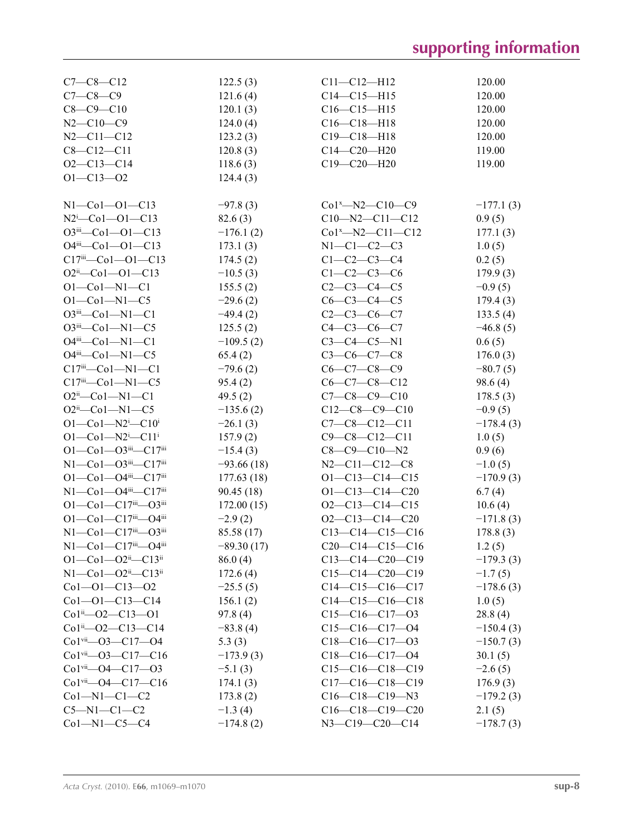| $C7 - C8 - C12$                                         | 122.5(3)     | $C11 - C12 - H12$      | 120.00      |
|---------------------------------------------------------|--------------|------------------------|-------------|
| $C7 - C8 - C9$                                          | 121.6(4)     | $C14 - C15 - H15$      | 120.00      |
| $C8 - C9 - C10$                                         | 120.1(3)     | $C16 - C15 - H15$      | 120.00      |
| $N2 - C10 - C9$                                         | 124.0(4)     | $C16-C18-H18$          | 120.00      |
| $N2 - C11 - C12$                                        | 123.2(3)     | $C19 - C18 - H18$      | 120.00      |
| $C8 - C12 - C11$                                        | 120.8(3)     | $C14 - C20 - H20$      | 119.00      |
| $O2 - C13 - C14$                                        | 118.6(3)     | $C19 - C20 - H20$      | 119.00      |
| $O1 - C13 - O2$                                         | 124.4(3)     |                        |             |
|                                                         |              |                        |             |
| $N1 - Co1 - O1 - C13$                                   | $-97.8(3)$   | $Co1^x$ -N2-C10-C9     | $-177.1(3)$ |
| $N2^{i}$ -Col--Ol--Cl3                                  | 82.6(3)      | $C10 - N2 - C11 - C12$ | 0.9(5)      |
| $O3^{iii}$ - $Co1$ - $O1$ - $Cl3$                       | $-176.1(2)$  | $Co1^x$ -N2-C11-C12    | 177.1(3)    |
| $O4^{iii}$ - $Co1$ - $O1$ - $Cl3$                       | 173.1(3)     | $N1-C1-C2-C3$          | 1.0(5)      |
| $C17$ <sup>iii</sup> — $C$ o1—O1—C13                    | 174.5(2)     | $C1-C2-C3-C4$          | 0.2(5)      |
| $O2^{ii} - Co1 - O1 - C13$                              | $-10.5(3)$   | $C1-C2-C3-C6$          | 179.9(3)    |
| $O1 - Co1 - N1 - C1$                                    | 155.5(2)     | $C2-C3-C4-C5$          | $-0.9(5)$   |
| $O1 - Co1 - N1 - C5$                                    | $-29.6(2)$   | $C6 - C3 - C4 - C5$    | 179.4(3)    |
| O3iii-Co1-N1-C1                                         | $-49.4(2)$   | $C2 - C3 - C6 - C7$    |             |
|                                                         |              |                        | 133.5(4)    |
| $O3$ <sup>iii</sup> —Co1—N1—C5                          | 125.5(2)     | $C4 - C3 - C6 - C7$    | $-46.8(5)$  |
| $O4^{iii}$ - $Co1$ - $N1$ - $Cl$                        | $-109.5(2)$  | $C3-C4-C5-N1$          | 0.6(5)      |
| $O4^{iii}$ - $Co1$ - $N1$ - $C5$                        | 65.4(2)      | $C3-C6-C7-C8$          | 176.0(3)    |
| $C17^{iii}$ - $Co1$ - $N1$ - $C1$                       | $-79.6(2)$   | $C6-C7-C8-C9$          | $-80.7(5)$  |
| $C17$ <sup>iii</sup> — $C$ o $1$ — $N1$ — $C5$          | 95.4(2)      | $C6-C7-C8-C12$         | 98.6(4)     |
| $O2ii$ -Co1-N1-C1                                       | 49.5 $(2)$   | $C7-C8-C9-C10$         | 178.5(3)    |
| $O2ii$ -Co1-N1-C5                                       | $-135.6(2)$  | $C12-C8-C9-C10$        | $-0.9(5)$   |
| $O1 - Co1 - N2$ <sup>i</sup> $-C10$ <sup>i</sup>        | $-26.1(3)$   | $C7-C8-C12-C11$        | $-178.4(3)$ |
| $O1 - Co1 - N2$ <sup>i</sup> -C11 <sup>i</sup>          | 157.9(2)     | $C9 - C8 - C12 - C11$  | 1.0(5)      |
| $O1 - Co1 - O3$ iii - $Cl7$ iii                         | $-15.4(3)$   | $C8-C9-C10-N2$         | 0.9(6)      |
| $N1 - Co1 - O3$ iii $-C17$ iii                          | $-93.66(18)$ | $N2 - C11 - C12 - C8$  | $-1.0(5)$   |
| $O1 - Co1 - O4$ <sup>iii</sup> - $Cl7$ <sup>iii</sup>   | 177.63(18)   | $O1 - C13 - C14 - C15$ | $-170.9(3)$ |
| N1-Co1-O4iii-C17iii                                     | 90.45 (18)   | $O1 - C13 - C14 - C20$ | 6.7(4)      |
| $O1 - Co1 - C17$ iii $O3$ iii                           | 172.00(15)   | $O2-C13-C14-C15$       | 10.6(4)     |
| O1-Co1-C17iii-O4iii                                     | $-2.9(2)$    | $O2-C13-C14-C20$       | $-171.8(3)$ |
| $N1 - Co1 - C17$ <sup>iii</sup> -03 <sup>iii</sup>      | 85.58 (17)   | $C13-C14-C15-C16$      | 178.8(3)    |
| $N1$ —Co $1$ —C $17$ <sup>iii</sup> —O4 <sup>iii</sup>  | $-89.30(17)$ | $C20-C14-C15-C16$      | 1.2(5)      |
| $O1 - Co1 - O2i - C13i$                                 | 86.0(4)      | $C13-C14-C20-C19$      | $-179.3(3)$ |
| $N1$ — $Co1$ — $O2$ <sup>ii</sup> — $C13$ <sup>ii</sup> | 172.6(4)     | $C15-C14-C20-C19$      | $-1.7(5)$   |
| $Co1 - O1 - C13 - O2$                                   | $-25.5(5)$   | $C14-C15-C16-C17$      | $-178.6(3)$ |
| $Co1 - O1 - C13 - C14$                                  | 156.1(2)     | $C14-C15-C16-C18$      | 1.0(5)      |
| $Co1^{ii} - O2 - C13 - O1$                              | 97.8(4)      | $C15-C16-C17-03$       | 28.8(4)     |
| $Co1ii$ - $O2$ - $Cl3$ - $Cl4$                          | $-83.8(4)$   | $C15-C16-C17-04$       | $-150.4(3)$ |
| $Co1$ <sup>vii</sup> —O3—C17—O4                         | 5.3(3)       | $C18-C16-C17-03$       | $-150.7(3)$ |
| $Co1$ <sup>vii</sup> - $O3$ - $Cl7$ - $Cl6$             | $-173.9(3)$  | $C18-C16-C17-04$       | 30.1(5)     |
| $Co1$ <sup>vii</sup> —O4—C17—O3                         | $-5.1(3)$    | $C15-C16-C18-C19$      | $-2.6(5)$   |
| $Co1$ <sup>vii</sup> —O4—C17—C16                        | 174.1(3)     | $C17-C16-C18-C19$      | 176.9(3)    |
| $Co1-M1-C1-C2$                                          | 173.8(2)     | $C16-C18-C19-N3$       | $-179.2(3)$ |
| $C5 - N1 - C1 - C2$                                     | $-1.3(4)$    | $C16-C18-C19-C20$      | 2.1(5)      |
| $Co1 - N1 - C5 - C4$                                    | $-174.8(2)$  | $N3 - C19 - C20 - C14$ | $-178.7(3)$ |